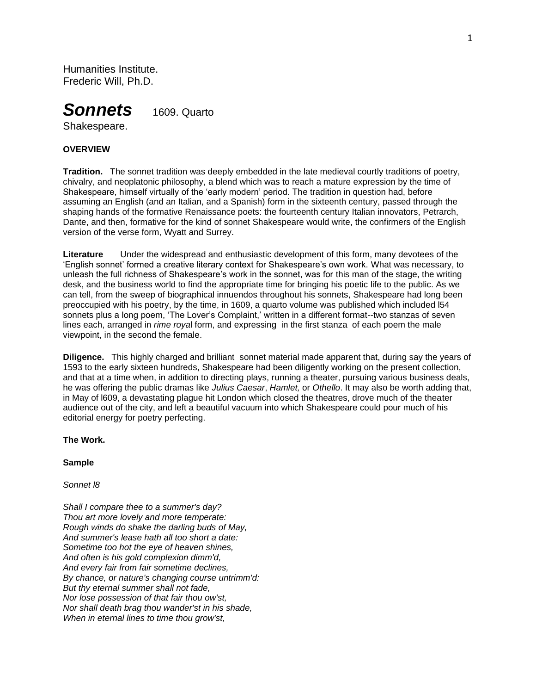Humanities Institute. Frederic Will, Ph.D.



# Shakespeare.

## **OVERVIEW**

**Tradition.** The sonnet tradition was deeply embedded in the late medieval courtly traditions of poetry, chivalry, and neoplatonic philosophy, a blend which was to reach a mature expression by the time of Shakespeare, himself virtually of the 'early modern' period. The tradition in question had, before assuming an English (and an Italian, and a Spanish) form in the sixteenth century, passed through the shaping hands of the formative Renaissance poets: the fourteenth century Italian innovators, Petrarch, Dante, and then, formative for the kind of sonnet Shakespeare would write, the confirmers of the English version of the verse form, Wyatt and Surrey.

**Literature** Under the widespread and enthusiastic development of this form, many devotees of the 'English sonnet' formed a creative literary context for Shakespeare's own work. What was necessary, to unleash the full richness of Shakespeare's work in the sonnet, was for this man of the stage, the writing desk, and the business world to find the appropriate time for bringing his poetic life to the public. As we can tell, from the sweep of biographical innuendos throughout his sonnets, Shakespeare had long been preoccupied with his poetry, by the time, in 1609, a quarto volume was published which included l54 sonnets plus a long poem, 'The Lover's Complaint,' written in a different format--two stanzas of seven lines each, arranged in *rime roya*l form, and expressing in the first stanza of each poem the male viewpoint, in the second the female.

**Diligence.** This highly charged and brilliant sonnet material made apparent that, during say the years of 1593 to the early sixteen hundreds, Shakespeare had been diligently working on the present collection, and that at a time when, in addition to directing plays, running a theater, pursuing various business deals, he was offering the public dramas like *Julius Caesar*, *Hamlet,* or *Othello*. It may also be worth adding that, in May of l609, a devastating plague hit London which closed the theatres, drove much of the theater audience out of the city, and left a beautiful vacuum into which Shakespeare could pour much of his editorial energy for poetry perfecting.

#### **The Work.**

#### **Sample**

*Sonnet l8*

*Shall I compare thee to a summer's day? Thou art more lovely and more temperate: Rough winds do shake the darling buds of May, And summer's lease hath all too short a date: Sometime too hot the eye of heaven shines, And often is his gold complexion dimm'd, And every fair from fair sometime declines, By chance, or nature's changing course untrimm'd: But thy eternal summer shall not fade, Nor lose possession of that fair thou ow'st, Nor shall death brag thou wander'st in his shade, When in eternal lines to time thou grow'st,*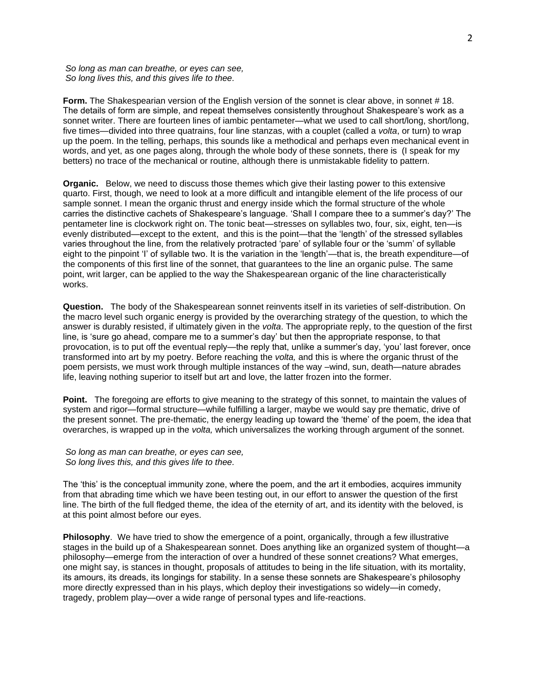*So long as man can breathe, or eyes can see, So long lives this, and this gives life to thee.*

**Form.** The Shakespearian version of the English version of the sonnet is clear above, in sonnet #18. The details of form are simple, and repeat themselves consistently throughout Shakespeare's work as a sonnet writer. There are fourteen lines of iambic pentameter—what we used to call short/long, short/long, five times—divided into three quatrains, four line stanzas, with a couplet (called a *volta*, or turn) to wrap up the poem. In the telling, perhaps, this sounds like a methodical and perhaps even mechanical event in words, and yet, as one pages along, through the whole body of these sonnets, there is (I speak for my betters) no trace of the mechanical or routine, although there is unmistakable fidelity to pattern.

**Organic.** Below, we need to discuss those themes which give their lasting power to this extensive quarto. First, though, we need to look at a more difficult and intangible element of the life process of our sample sonnet. I mean the organic thrust and energy inside which the formal structure of the whole carries the distinctive cachets of Shakespeare's language. 'Shall I compare thee to a summer's day?' The pentameter line is clockwork right on. The tonic beat—stresses on syllables two, four, six, eight, ten—is evenly distributed—except to the extent, and this is the point—that the 'length' of the stressed syllables varies throughout the line, from the relatively protracted 'pare' of syllable four or the 'summ' of syllable eight to the pinpoint 'I' of syllable two. It is the variation in the 'length'—that is, the breath expenditure—of the components of this first line of the sonnet, that guarantees to the line an organic pulse. The same point, writ larger, can be applied to the way the Shakespearean organic of the line characteristically works.

**Question.** The body of the Shakespearean sonnet reinvents itself in its varieties of self-distribution. On the macro level such organic energy is provided by the overarching strategy of the question, to which the answer is durably resisted, if ultimately given in the *volta*. The appropriate reply, to the question of the first line, is 'sure go ahead, compare me to a summer's day' but then the appropriate response, to that provocation, is to put off the eventual reply—the reply that, unlike a summer's day, 'you' last forever, once transformed into art by my poetry. Before reaching the *volta,* and this is where the organic thrust of the poem persists, we must work through multiple instances of the way –wind, sun, death—nature abrades life, leaving nothing superior to itself but art and love, the latter frozen into the former.

**Point.** The foregoing are efforts to give meaning to the strategy of this sonnet, to maintain the values of system and rigor—formal structure—while fulfilling a larger, maybe we would say pre thematic, drive of the present sonnet. The pre-thematic, the energy leading up toward the 'theme' of the poem, the idea that overarches, is wrapped up in the *volta,* which universalizes the working through argument of the sonnet.

*So long as man can breathe, or eyes can see, So long lives this, and this gives life to thee.*

The 'this' is the conceptual immunity zone, where the poem, and the art it embodies, acquires immunity from that abrading time which we have been testing out, in our effort to answer the question of the first line. The birth of the full fledged theme, the idea of the eternity of art, and its identity with the beloved, is at this point almost before our eyes.

**Philosophy**. We have tried to show the emergence of a point, organically, through a few illustrative stages in the build up of a Shakespearean sonnet. Does anything like an organized system of thought—a philosophy—emerge from the interaction of over a hundred of these sonnet creations? What emerges, one might say, is stances in thought, proposals of attitudes to being in the life situation, with its mortality, its amours, its dreads, its longings for stability. In a sense these sonnets are Shakespeare's philosophy more directly expressed than in his plays, which deploy their investigations so widely—in comedy, tragedy, problem play—over a wide range of personal types and life-reactions.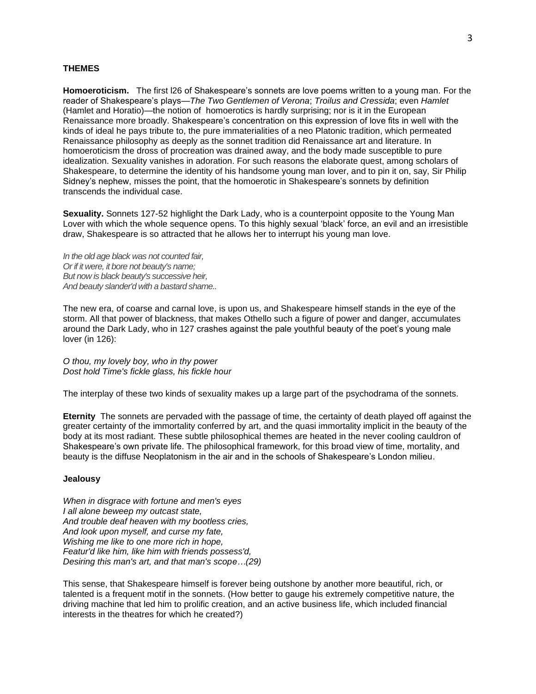#### **THEMES**

**Homoeroticism.** The first l26 of Shakespeare's sonnets are love poems written to a young man. For the reader of Shakespeare's plays—*The Two Gentlemen of Verona*; *Troilus and Cressida*; even *Hamlet* (Hamlet and Horatio)—the notion of homoerotics is hardly surprising; nor is it in the European Renaissance more broadly. Shakespeare's concentration on this expression of love fits in well with the kinds of ideal he pays tribute to, the pure immaterialities of a neo Platonic tradition, which permeated Renaissance philosophy as deeply as the sonnet tradition did Renaissance art and literature. In homoeroticism the dross of procreation was drained away, and the body made susceptible to pure idealization. Sexuality vanishes in adoration. For such reasons the elaborate quest, among scholars of Shakespeare, to determine the identity of his handsome young man lover, and to pin it on, say, Sir Philip Sidney's nephew, misses the point, that the homoerotic in Shakespeare's sonnets by definition transcends the individual case.

**Sexuality.** Sonnets 127-52 highlight the Dark Lady, who is a counterpoint opposite to the Young Man Lover with which the whole sequence opens. To this highly sexual 'black' force, an evil and an irresistible draw, Shakespeare is so attracted that he allows her to interrupt his young man love.

*In the old age black was not counted fair, Or if it were, it bore not beauty's name; But now is black beauty's successive heir, And beauty slander'd with a bastard shame..*

The new era, of coarse and carnal love, is upon us, and Shakespeare himself stands in the eye of the storm. All that power of blackness, that makes Othello such a figure of power and danger, accumulates around the Dark Lady, who in 127 crashes against the pale youthful beauty of the poet's young male lover (in 126):

*O thou, my lovely boy, who in thy power Dost hold Time's fickle glass, his fickle hour*

The interplay of these two kinds of sexuality makes up a large part of the psychodrama of the sonnets.

**Eternity** The sonnets are pervaded with the passage of time, the certainty of death played off against the greater certainty of the immortality conferred by art, and the quasi immortality implicit in the beauty of the body at its most radiant. These subtle philosophical themes are heated in the never cooling cauldron of Shakespeare's own private life. The philosophical framework, for this broad view of time, mortality, and beauty is the diffuse Neoplatonism in the air and in the schools of Shakespeare's London milieu.

#### **Jealousy**

*When in disgrace with fortune and men's eyes I all alone beweep my outcast state, And trouble deaf heaven with my bootless cries, And look upon myself, and curse my fate, Wishing me like to one more rich in hope, Featur'd like him, like him with friends possess'd, Desiring this man's art, and that man's scope…(29)*

This sense, that Shakespeare himself is forever being outshone by another more beautiful, rich, or talented is a frequent motif in the sonnets. (How better to gauge his extremely competitive nature, the driving machine that led him to prolific creation, and an active business life, which included financial interests in the theatres for which he created?)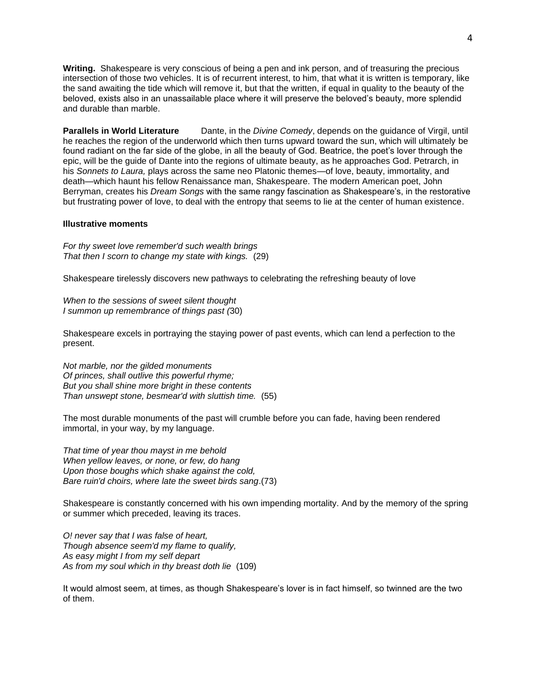**Writing.** Shakespeare is very conscious of being a pen and ink person, and of treasuring the precious intersection of those two vehicles. It is of recurrent interest, to him, that what it is written is temporary, like the sand awaiting the tide which will remove it, but that the written, if equal in quality to the beauty of the beloved, exists also in an unassailable place where it will preserve the beloved's beauty, more splendid and durable than marble.

**Parallels in World Literature** Dante, in the *Divine Comedy*, depends on the guidance of Virgil, until he reaches the region of the underworld which then turns upward toward the sun, which will ultimately be found radiant on the far side of the globe, in all the beauty of God. Beatrice, the poet's lover through the epic, will be the guide of Dante into the regions of ultimate beauty, as he approaches God. Petrarch, in his *Sonnets to Laura,* plays across the same neo Platonic themes—of love, beauty, immortality, and death—which haunt his fellow Renaissance man, Shakespeare. The modern American poet, John Berryman, creates his *Dream Songs* with the same rangy fascination as Shakespeare's, in the restorative but frustrating power of love, to deal with the entropy that seems to lie at the center of human existence.

#### **Illustrative moments**

*For thy sweet love remember'd such wealth brings That then I scorn to change my state with kings.* (29)

Shakespeare tirelessly discovers new pathways to celebrating the refreshing beauty of love

*When to the sessions of sweet silent thought I summon up remembrance of things past (*30)

Shakespeare excels in portraying the staying power of past events, which can lend a perfection to the present.

*Not marble, nor the gilded monuments Of princes, shall outlive this powerful rhyme; But you shall shine more bright in these contents Than unswept stone, besmear'd with sluttish time.* (55)

The most durable monuments of the past will crumble before you can fade, having been rendered immortal, in your way, by my language.

*That time of year thou mayst in me behold When yellow leaves, or none, or few, do hang Upon those boughs which shake against the cold, Bare ruin'd choirs, where late the sweet birds sang*.(73)

Shakespeare is constantly concerned with his own impending mortality. And by the memory of the spring or summer which preceded, leaving its traces.

*O! never say that I was false of heart, Though absence seem'd my flame to qualify, As easy might I from my self depart As from my soul which in thy breast doth lie* (109)

It would almost seem, at times, as though Shakespeare's lover is in fact himself, so twinned are the two of them.